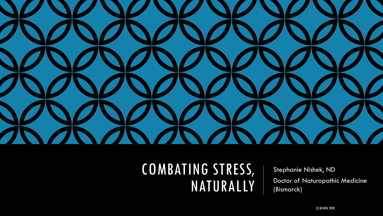

### COMBATING STRESS, NATURALLY

Stephanie Nishek, ND Doctor of Naturopathic Medicine (Bismarck)

(C) NISHEK 2020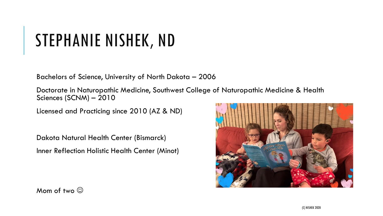## STEPHANIE NISHEK, ND

Bachelors of Science, University of North Dakota – 2006

Doctorate in Naturopathic Medicine, Southwest College of Naturopathic Medicine & Health Sciences (SCNM) – 2010

Licensed and Practicing since 2010 (AZ & ND)

Dakota Natural Health Center (Bismarck) Inner Reflection Holistic Health Center (Minot)



Mom of two  $\odot$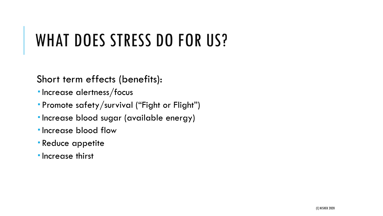## WHAT DOES STRESS DO FOR US?

Short term effects (benefits):

- **Increase alertness/focus**
- Promote safety/survival ("Fight or Flight")
- Increase blood sugar (available energy)
- **Increase blood flow**
- Reduce appetite
- **Increase thirst**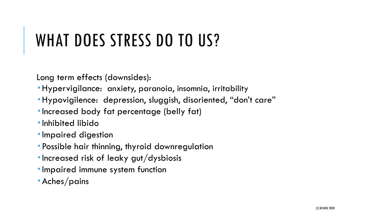## WHAT DOES STRESS DO TO US?

Long term effects (downsides):

- Hypervigilance: anxiety, paranoia, insomnia, irritability
- Hypovigilence: depression, sluggish, disoriented, "don't care"
- Increased body fat percentage (belly fat)
- Inhibited libido
- **Impaired digestion**
- Possible hair thinning, thyroid downregulation
- $\blacksquare$  Increased risk of leaky gut/dysbiosis
- **Impaired immune system function**
- Aches/pains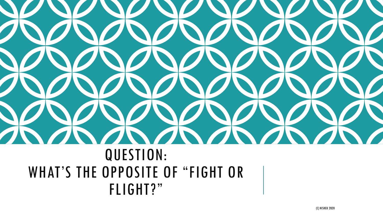# QUESTION: WHAT'S THE OPPOSITE OF "FIGHT OR FLIGHT?"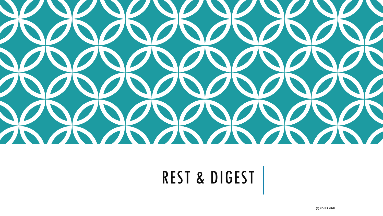

## REST & DIGEST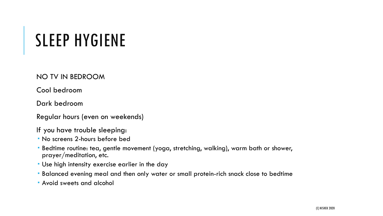## SLEEP HYGIENE

NO TV IN BEDROOM

Cool bedroom

Dark bedroom

Regular hours (even on weekends)

If you have trouble sleeping:

- No screens 2-hours before bed
- Bedtime routine: tea, gentle movement (yoga, stretching, walking), warm bath or shower, prayer/meditation, etc.
- Use high intensity exercise earlier in the day
- Balanced evening meal and then only water or small protein-rich snack close to bedtime
- Avoid sweets and alcohol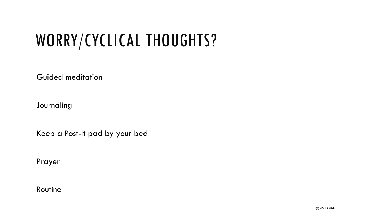## WORRY/CYCLICAL THOUGHTS?

Guided meditation

Journaling

Keep a Post-It pad by your bed

Prayer

Routine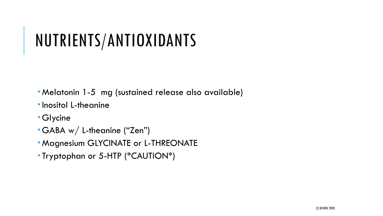## NUTRIENTS/ANTIOXIDANTS

- Melatonin 1-5 mg (sustained release also available)
- **Inositol L-theanine**
- Glycine
- GABA w/ L-theanine ("Zen")
- Magnesium GLYCINATE or L-THREONATE
- Tryptophan or 5-HTP (\*CAUTION\*)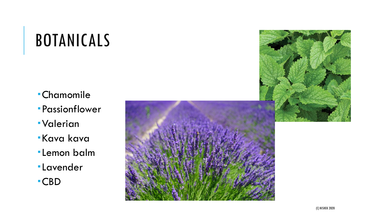## BOTANICAL S

- Chamomile
- Passionflower
- Valerian
- Kava kava
- Lemon balm
- Lavender

CBD



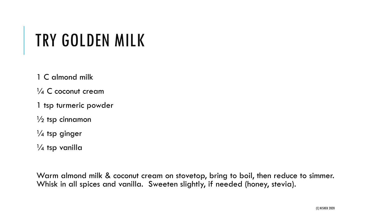## TRY GOLDEN MILK

1 C almond milk

 $\frac{1}{4}$  C coconut cream

1 tsp turmeric powder

 $\frac{1}{2}$  tsp cinnamon

 $\frac{1}{4}$  tsp ginger

 $\frac{1}{4}$  tsp vanilla

Warm almond milk & coconut cream on stovetop, bring to boil, then reduce to simmer. Whisk in all spices and vanilla. Sweeten slightly, if needed (honey, stevia).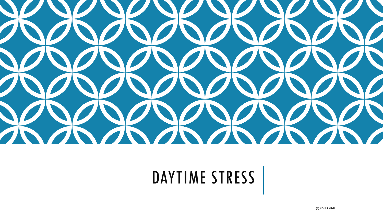

## DAYTIME STRESS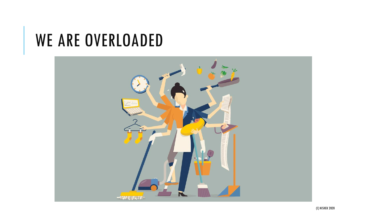## WE ARE OVERLOADED

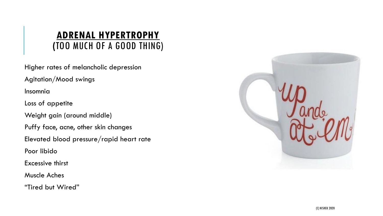#### **ADRENAL HYPERTROPHY (**TOO MUCH OF A GOOD THING)

Higher rates of melancholic depression

Agitation/Mood swings

Insomnia

Loss of appetite

Weight gain (around middle)

Puffy face, acne, other skin changes

Elevated blood pressure/rapid heart rate

Poor libido

Excessive thirst

Muscle Aches

"Tired but Wired"

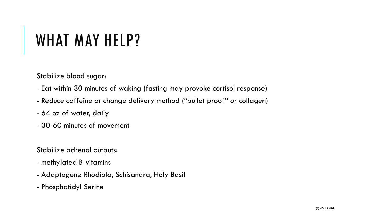## WHAT MAY HELP?

Stabilize blood sugar:

- Eat within 30 minutes of waking (fasting may provoke cortisol response)
- Reduce caffeine or change delivery method ("bullet proof" or collagen)
- 64 oz of water, daily
- 30-60 minutes of movement

Stabilize adrenal outputs:

- methylated B-vitamins
- Adaptogens: Rhodiola, Schisandra, Holy Basil
- Phosphatidyl Serine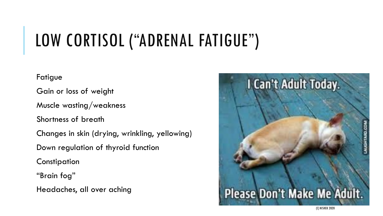## LOW CORTISOL ("ADRENAL FATIGUE")

Fatigue

Gain or loss of weight

Muscle wasting/weakness

Shortness of breath

Changes in skin (drying, wrinkling, yellowing)

Down regulation of thyroid function

**Constipation** 

"Brain fog"

Headaches, all over aching

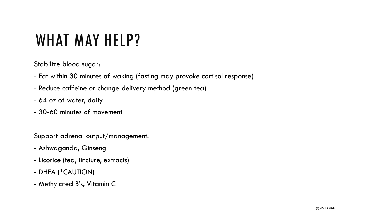## WHAT MAY HELP?

Stabilize blood sugar:

- Eat within 30 minutes of waking (fasting may provoke cortisol response)
- Reduce caffeine or change delivery method (green tea)
- 64 oz of water, daily
- 30-60 minutes of movement

Support adrenal output/management:

- Ashwaganda, Ginseng
- Licorice (tea, tincture, extracts)
- DHEA (\*CAUTION)
- Methylated B's, Vitamin C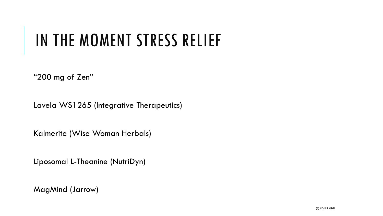## IN THE MOMENT STRESS RELIEF

"200 mg of Zen"

Lavela WS1265 (Integrative Therapeutics)

Kalmerite (Wise Woman Herbals)

Liposomal L-Theanine (NutriDyn)

MagMind (Jarrow)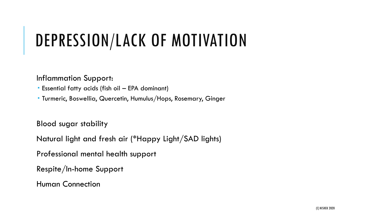## DEPRESSION/LACK OF MOTIVATION

Inflammation Support:

- Essential fatty acids (fish oil EPA dominant)
- Turmeric, Boswellia, Quercetin, Humulus/Hops, Rosemary, Ginger

Blood sugar stability

Natural light and fresh air (\*Happy Light/SAD lights)

Professional mental health support

Respite/In-home Support

Human Connection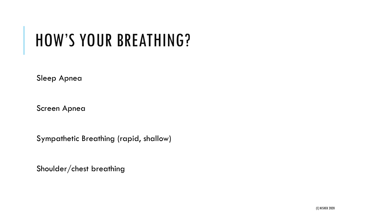## HOW'S YOUR BREATHING?

Sleep Apnea

Screen Apnea

Sympathetic Breathing (rapid, shallow)

Shoulder/chest breathing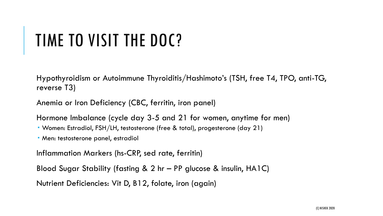## TIME TO VISIT THE DOC?

Hypothyroidism or Autoimmune Thyroiditis/Hashimoto's (TSH, free T4, TPO, anti-TG, reverse T3)

Anemia or Iron Deficiency (CBC, ferritin, iron panel)

Hormone Imbalance (cycle day 3-5 and 21 for women, anytime for men)

Women: Estradiol, FSH/LH, testosterone (free & total), progesterone (day 21)

Men: testosterone panel, estradiol

Inflammation Markers (hs-CRP, sed rate, ferritin)

Blood Sugar Stability (fasting & 2 hr – PP glucose & insulin, HA1C)

Nutrient Deficiencies: Vit D, B12, folate, iron (again)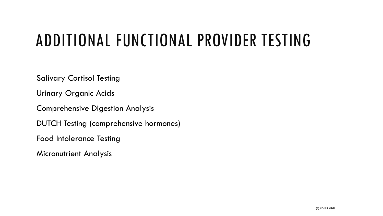## ADDITIONAL FUNCTIONAL PROVIDER TESTING

Salivary Cortisol Testing

Urinary Organic Acids

Comprehensive Digestion Analysis

DUTCH Testing (comprehensive hormones)

Food Intolerance Testing

Micronutrient Analysis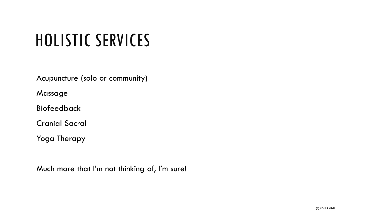## HOLISTIC SERVICES

Acupuncture (solo or community)

Massage

Biofeedback

Cranial Sacral

Yoga Therapy

Much more that I'm not thinking of, I'm sure!